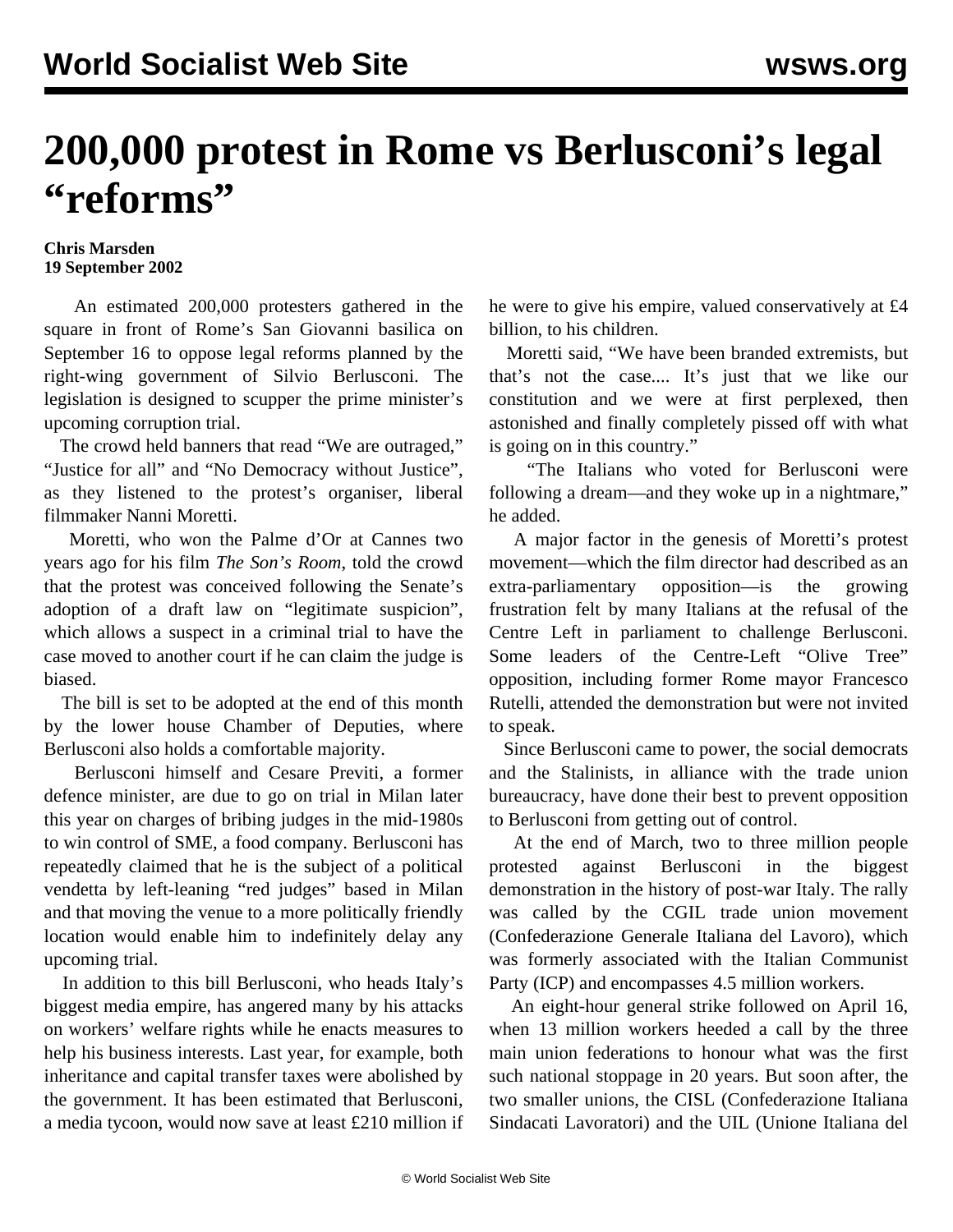## **200,000 protest in Rome vs Berlusconi's legal "reforms"**

## **Chris Marsden 19 September 2002**

 An estimated 200,000 protesters gathered in the square in front of Rome's San Giovanni basilica on September 16 to oppose legal reforms planned by the right-wing government of Silvio Berlusconi. The legislation is designed to scupper the prime minister's upcoming corruption trial.

 The crowd held banners that read "We are outraged," "Justice for all" and "No Democracy without Justice", as they listened to the protest's organiser, liberal filmmaker Nanni Moretti.

 Moretti, who won the Palme d'Or at Cannes two years ago for his film *The Son's Room*, told the crowd that the protest was conceived following the Senate's adoption of a draft law on "legitimate suspicion", which allows a suspect in a criminal trial to have the case moved to another court if he can claim the judge is biased.

 The bill is set to be adopted at the end of this month by the lower house Chamber of Deputies, where Berlusconi also holds a comfortable majority.

 Berlusconi himself and Cesare Previti, a former defence minister, are due to go on trial in Milan later this year on charges of bribing judges in the mid-1980s to win control of SME, a food company. Berlusconi has repeatedly claimed that he is the subject of a political vendetta by left-leaning "red judges" based in Milan and that moving the venue to a more politically friendly location would enable him to indefinitely delay any upcoming trial.

 In addition to this bill Berlusconi, who heads Italy's biggest media empire, has angered many by his attacks on workers' welfare rights while he enacts measures to help his business interests. Last year, for example, both inheritance and capital transfer taxes were abolished by the government. It has been estimated that Berlusconi, a media tycoon, would now save at least £210 million if he were to give his empire, valued conservatively at £4 billion, to his children.

 Moretti said, "We have been branded extremists, but that's not the case.... It's just that we like our constitution and we were at first perplexed, then astonished and finally completely pissed off with what is going on in this country."

 "The Italians who voted for Berlusconi were following a dream—and they woke up in a nightmare," he added.

 A major factor in the genesis of Moretti's protest movement—which the film director had described as an extra-parliamentary opposition—is the growing frustration felt by many Italians at the refusal of the Centre Left in parliament to challenge Berlusconi. Some leaders of the Centre-Left "Olive Tree" opposition, including former Rome mayor Francesco Rutelli, attended the demonstration but were not invited to speak.

 Since Berlusconi came to power, the social democrats and the Stalinists, in alliance with the trade union bureaucracy, have done their best to prevent opposition to Berlusconi from getting out of control.

 At the end of March, two to three million people protested against Berlusconi in the biggest demonstration in the history of post-war Italy. The rally was called by the CGIL trade union movement (Confederazione Generale Italiana del Lavoro), which was formerly associated with the Italian Communist Party (ICP) and encompasses 4.5 million workers.

 An eight-hour general strike followed on April 16, when 13 million workers heeded a call by the three main union federations to honour what was the first such national stoppage in 20 years. But soon after, the two smaller unions, the CISL (Confederazione Italiana Sindacati Lavoratori) and the UIL (Unione Italiana del